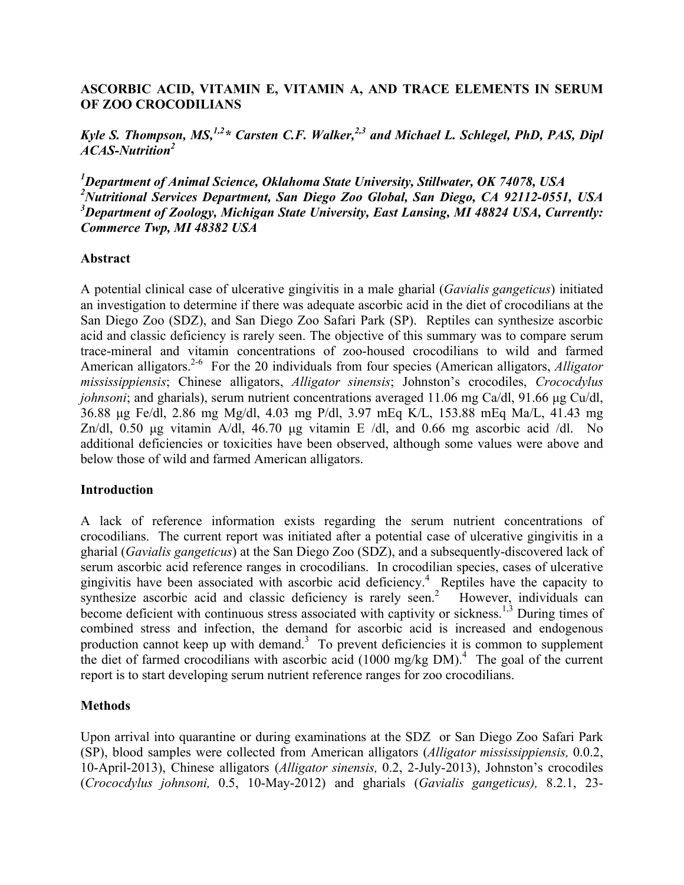# **ASCORBIC ACID, VITAMIN E, VITAMIN A, AND TRACE ELEMENTS IN SERUM OF ZOO CROCODILIANS**

*Kyle S. Thompson, MS*,<sup>1,2\*</sup> *Carsten C.F. Walker*<sup>2,3</sup> *and Michael L. Schlegel, PhD, PAS, Dipl ACAS-Nutrition<sup>2</sup>*

 *Department of Animal Science, Oklahoma State University, Stillwater, OK 74078, USA Nutritional Services Department, San Diego Zoo Global, San Diego, CA 92112-0551, USA Department of Zoology, Michigan State University, East Lansing, MI 48824 USA, Currently: Commerce Twp, MI 48382 USA*

### **Abstract**

A potential clinical case of ulcerative gingivitis in a male gharial (*Gavialis gangeticus*) initiated an investigation to determine if there was adequate ascorbic acid in the diet of crocodilians at the San Diego Zoo (SDZ), and San Diego Zoo Safari Park (SP). Reptiles can synthesize ascorbic acid and classic deficiency is rarely seen. The objective of this summary was to compare serum trace-mineral and vitamin concentrations of zoo-housed crocodilians to wild and farmed American alligators. 2-6 For the 20 individuals from four species (American alligators, *Alligator mississippiensis*; Chinese alligators, *Alligator sinensis*; Johnston's crocodiles, *Crococdylus johnsoni*; and gharials), serum nutrient concentrations averaged 11.06 mg Ca/dl, 91.66 µg Cu/dl, 36.88 µg Fe/dl, 2.86 mg Mg/dl, 4.03 mg P/dl, 3.97 mEq K/L, 153.88 mEq Ma/L, 41.43 mg Zn/dl, 0.50 µg vitamin A/dl, 46.70 µg vitamin E /dl, and 0.66 mg ascorbic acid /dl. No additional deficiencies or toxicities have been observed, although some values were above and below those of wild and farmed American alligators.

#### **Introduction**

A lack of reference information exists regarding the serum nutrient concentrations of crocodilians. The current report was initiated after a potential case of ulcerative gingivitis in a gharial (*Gavialis gangeticus*) at the San Diego Zoo (SDZ), and a subsequently-discovered lack of serum ascorbic acid reference ranges in crocodilians. In crocodilian species, cases of ulcerative gingivitis have been associated with ascorbic acid deficiency.<sup>4</sup> Reptiles have the capacity to synthesize ascorbic acid and classic deficiency is rarely seen.<sup>2</sup> However, individuals can become deficient with continuous stress associated with captivity or sickness.<sup>1,3</sup> During times of combined stress and infection, the demand for ascorbic acid is increased and endogenous production cannot keep up with demand.<sup>3</sup> To prevent deficiencies it is common to supplement the diet of farmed crocodilians with ascorbic acid (1000 mg/kg DM).<sup>4</sup> The goal of the current report is to start developing serum nutrient reference ranges for zoo crocodilians.

### **Methods**

Upon arrival into quarantine or during examinations at the SDZ or San Diego Zoo Safari Park (SP), blood samples were collected from American alligators (*Alligator mississippiensis,* 0.0.2, 10-April-2013), Chinese alligators (*Alligator sinensis,* 0.2, 2-July-2013), Johnston's crocodiles (*Crococdylus johnsoni,* 0.5, 10-May-2012) and gharials (*Gavialis gangeticus),* 8.2.1, 23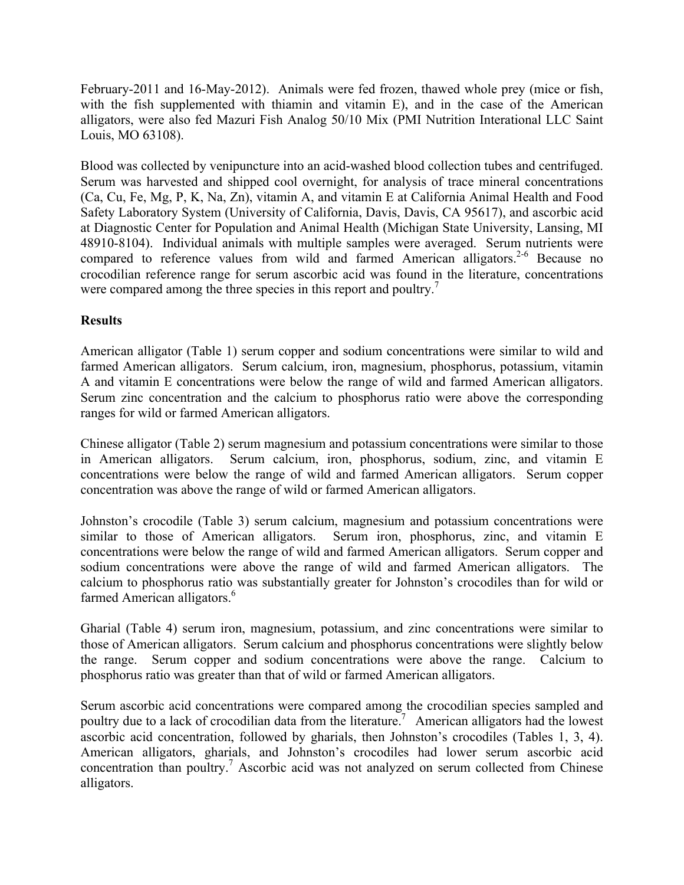February-2011 and 16-May-2012). Animals were fed frozen, thawed whole prey (mice or fish, with the fish supplemented with thiamin and vitamin E), and in the case of the American alligators, were also fed Mazuri Fish Analog 50/10 Mix (PMI Nutrition Interational LLC Saint Louis, MO 63108).

Blood was collected by venipuncture into an acid-washed blood collection tubes and centrifuged. Serum was harvested and shipped cool overnight, for analysis of trace mineral concentrations (Ca, Cu, Fe, Mg, P, K, Na, Zn), vitamin A, and vitamin E at California Animal Health and Food Safety Laboratory System (University of California, Davis, Davis, CA 95617), and ascorbic acid at Diagnostic Center for Population and Animal Health (Michigan State University, Lansing, MI 48910-8104). Individual animals with multiple samples were averaged. Serum nutrients were compared to reference values from wild and farmed American alligators.<sup>2-6</sup> Because no crocodilian reference range for serum ascorbic acid was found in the literature, concentrations were compared among the three species in this report and poultry.<sup>7</sup>

# **Results**

American alligator (Table 1) serum copper and sodium concentrations were similar to wild and farmed American alligators. Serum calcium, iron, magnesium, phosphorus, potassium, vitamin A and vitamin E concentrations were below the range of wild and farmed American alligators. Serum zinc concentration and the calcium to phosphorus ratio were above the corresponding ranges for wild or farmed American alligators.

Chinese alligator (Table 2) serum magnesium and potassium concentrations were similar to those in American alligators. Serum calcium, iron, phosphorus, sodium, zinc, and vitamin E concentrations were below the range of wild and farmed American alligators. Serum copper concentration was above the range of wild or farmed American alligators.

Johnston's crocodile (Table 3) serum calcium, magnesium and potassium concentrations were similar to those of American alligators. Serum iron, phosphorus, zinc, and vitamin E concentrations were below the range of wild and farmed American alligators. Serum copper and sodium concentrations were above the range of wild and farmed American alligators. The calcium to phosphorus ratio was substantially greater for Johnston's crocodiles than for wild or farmed American alligators.<sup>6</sup>

Gharial (Table 4) serum iron, magnesium, potassium, and zinc concentrations were similar to those of American alligators. Serum calcium and phosphorus concentrations were slightly below the range. Serum copper and sodium concentrations were above the range. Calcium to phosphorus ratio was greater than that of wild or farmed American alligators.

Serum ascorbic acid concentrations were compared among the crocodilian species sampled and poultry due to a lack of crocodilian data from the literature.<sup>7</sup> American alligators had the lowest ascorbic acid concentration, followed by gharials, then Johnston's crocodiles (Tables 1, 3, 4). American alligators, gharials, and Johnston's crocodiles had lower serum ascorbic acid concentration than poultry. <sup>7</sup> Ascorbic acid was not analyzed on serum collected from Chinese alligators.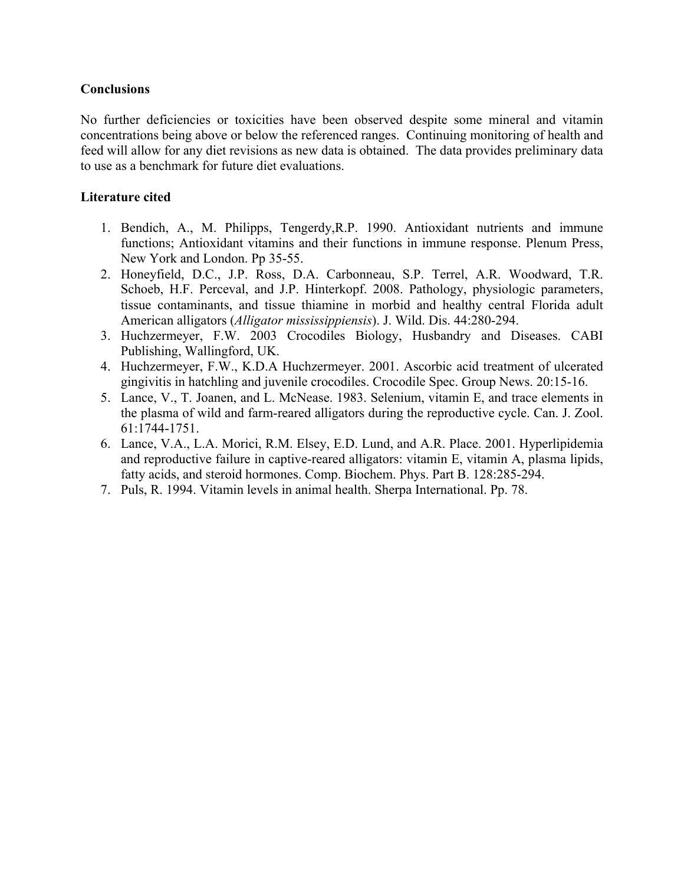## **Conclusions**

No further deficiencies or toxicities have been observed despite some mineral and vitamin concentrations being above or below the referenced ranges. Continuing monitoring of health and feed will allow for any diet revisions as new data is obtained. The data provides preliminary data to use as a benchmark for future diet evaluations.

## **Literature cited**

- 1. Bendich, A., M. Philipps, Tengerdy,R.P. 1990. Antioxidant nutrients and immune functions; Antioxidant vitamins and their functions in immune response. Plenum Press, New York and London. Pp 35-55.
- 2. Honeyfield, D.C., J.P. Ross, D.A. Carbonneau, S.P. Terrel, A.R. Woodward, T.R. Schoeb, H.F. Perceval, and J.P. Hinterkopf. 2008. Pathology, physiologic parameters, tissue contaminants, and tissue thiamine in morbid and healthy central Florida adult American alligators (*Alligator mississippiensis*). J. Wild. Dis. 44:280-294.
- 3. Huchzermeyer, F.W. 2003 Crocodiles Biology, Husbandry and Diseases. CABI Publishing, Wallingford, UK.
- 4. Huchzermeyer, F.W., K.D.A Huchzermeyer. 2001. Ascorbic acid treatment of ulcerated gingivitis in hatchling and juvenile crocodiles. Crocodile Spec. Group News. 20:15-16.
- 5. Lance, V., T. Joanen, and L. McNease. 1983. Selenium, vitamin E, and trace elements in the plasma of wild and farm-reared alligators during the reproductive cycle. Can. J. Zool. 61:1744-1751.
- 6. Lance, V.A., L.A. Morici, R.M. Elsey, E.D. Lund, and A.R. Place. 2001. Hyperlipidemia and reproductive failure in captive-reared alligators: vitamin E, vitamin A, plasma lipids, fatty acids, and steroid hormones. Comp. Biochem. Phys. Part B. 128:285-294.
- 7. Puls, R. 1994. Vitamin levels in animal health. Sherpa International. Pp. 78.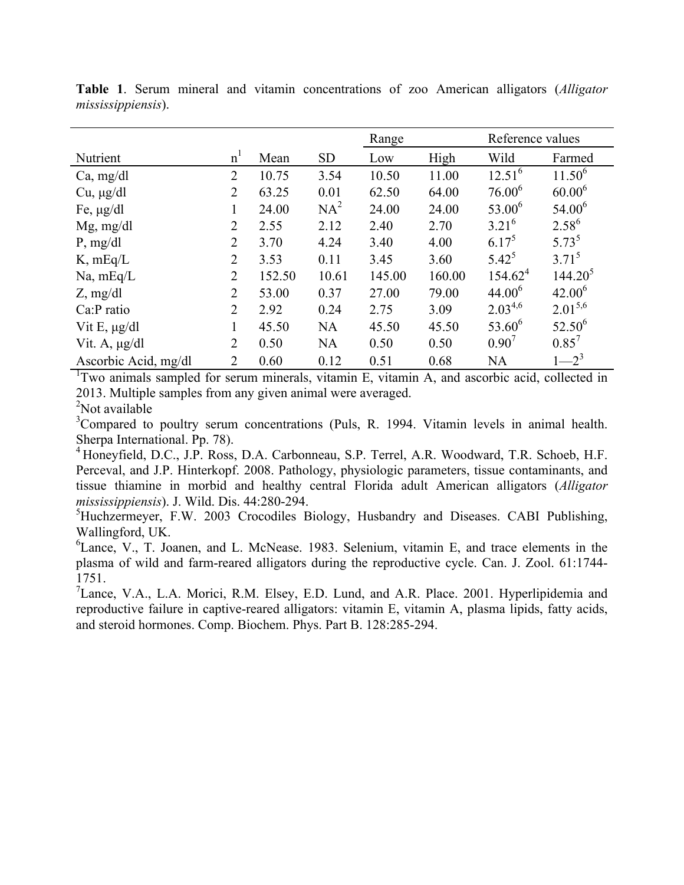|                      |                |        |           | Range  |        | Reference values |                     |
|----------------------|----------------|--------|-----------|--------|--------|------------------|---------------------|
| Nutrient             | n <sup>1</sup> | Mean   | <b>SD</b> | Low    | High   | Wild             | Farmed              |
| Ca, mg/dl            | $\overline{2}$ | 10.75  | 3.54      | 10.50  | 11.00  | $12.51^{6}$      | $11.50^{6}$         |
| $Cu, \mu g/dl$       | $\overline{2}$ | 63.25  | 0.01      | 62.50  | 64.00  | $76.00^6$        | $60.00^{6}$         |
| Fe, $\mu$ g/dl       | 1              | 24.00  | $NA^2$    | 24.00  | 24.00  | $53.00^6$        | $54.00^6$           |
| $Mg$ , mg/dl         | $\overline{2}$ | 2.55   | 2.12      | 2.40   | 2.70   | $3.21^{6}$       | $2.58^{6}$          |
| P, mg/dl             | $\overline{2}$ | 3.70   | 4.24      | 3.40   | 4.00   | $6.17^5$         | $5.73^{5}$          |
| $K$ , mEq/L          | $\overline{2}$ | 3.53   | 0.11      | 3.45   | 3.60   | $5.42^{5}$       | $3.71^{5}$          |
| $Na$ , mEq/L         | $\overline{2}$ | 152.50 | 10.61     | 145.00 | 160.00 | $154.62^4$       | 144.20 <sup>5</sup> |
| $Z$ , mg/dl          | $\overline{2}$ | 53.00  | 0.37      | 27.00  | 79.00  | $44.00^6$        | $42.00^{6}$         |
| Ca:P ratio           | $\overline{2}$ | 2.92   | 0.24      | 2.75   | 3.09   | $2.03^{4,6}$     | $2.01^{5,6}$        |
| Vit E, $\mu$ g/dl    | 1              | 45.50  | <b>NA</b> | 45.50  | 45.50  | $53.60^6$        | $52.50^{6}$         |
| Vit. A, $\mu$ g/dl   | $\overline{2}$ | 0.50   | <b>NA</b> | 0.50   | 0.50   | 0.90'            | $0.85^7$            |
| Ascorbic Acid, mg/dl | $\overline{2}$ | 0.60   | 0.12      | 0.51   | 0.68   | <b>NA</b>        | $1 - 2^3$           |

**Table 1**. Serum mineral and vitamin concentrations of zoo American alligators (*Alligator mississippiensis*).

<sup>1</sup>Two animals sampled for serum minerals, vitamin E, vitamin A, and ascorbic acid, collected in 2013. Multiple samples from any given animal were averaged.

<sup>2</sup>Not available

<sup>3</sup>Compared to poultry serum concentrations (Puls, R. 1994. Vitamin levels in animal health. Sherpa International. Pp. 78).<br><sup>4</sup> Honeyfield, D.C., J.P. Ross, D.A. Carbonneau, S.P. Terrel, A.R. Woodward, T.R. Schoeb, H.F.

Perceval, and J.P. Hinterkopf. 2008. Pathology, physiologic parameters, tissue contaminants, and tissue thiamine in morbid and healthy central Florida adult American alligators (*Alligator mississippiensis*). J. Wild. Dis. 44:280-294.

<sup>5</sup>Huchzermeyer, F.W. 2003 Crocodiles Biology, Husbandry and Diseases. CABI Publishing, Wallingford, UK.

<sup>6</sup>Lance, V., T. Joanen, and L. McNease. 1983. Selenium, vitamin E, and trace elements in the plasma of wild and farm-reared alligators during the reproductive cycle. Can. J. Zool. 61:1744- 1751. <sup>7</sup>

<sup>7</sup> Lance, V.A., L.A. Morici, R.M. Elsey, E.D. Lund, and A.R. Place. 2001. Hyperlipidemia and reproductive failure in captive-reared alligators: vitamin E, vitamin A, plasma lipids, fatty acids, and steroid hormones. Comp. Biochem. Phys. Part B. 128:285-294.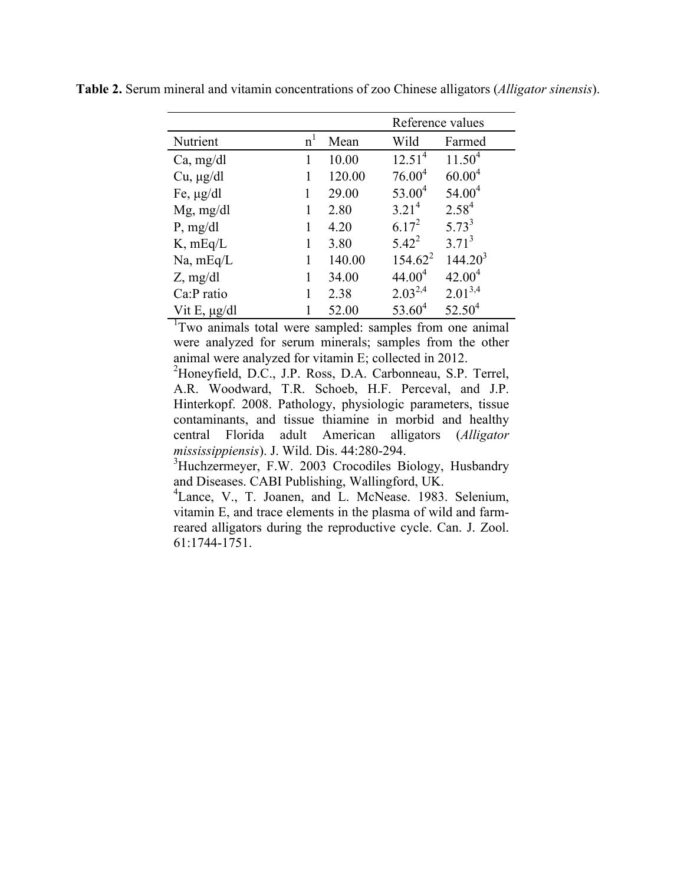|                   |                |        | Reference values  |              |  |
|-------------------|----------------|--------|-------------------|--------------|--|
| Nutrient          | n <sup>1</sup> | Mean   | Wild              | Farmed       |  |
| Ca, mg/dl         |                | 10.00  | $12.51^{4}$       | $11.50^{4}$  |  |
| $Cu, \mu g/dl$    | 1              | 120.00 | $76.00^4$         | $60.00^{4}$  |  |
| Fe, $\mu$ g/dl    | 1              | 29.00  | $53.00^4$         | $54.00^4$    |  |
| $Mg$ , mg/dl      | 1              | 2.80   | 3.21 <sup>4</sup> | $2.58^{4}$   |  |
| P, mg/dl          | 1              | 4.20   | $6.17^{2}$        | $5.73^{3}$   |  |
| $K$ , mEq/L       | 1              | 3.80   | $5.42^2$          | $3.71^{3}$   |  |
| Na, mEq/L         |                | 140.00 | $154.62^2$        | $144.20^{3}$ |  |
| $Z$ , mg/dl       |                | 34.00  | $44.00^4$         | $42.00^4$    |  |
| Ca:P ratio        |                | 2.38   | $2.03^{2,4}$      | $2.01^{3,4}$ |  |
| Vit E, $\mu$ g/dl |                | 52.00  | $53.60^{4}$       | $52.50^4$    |  |

**Table 2.** Serum mineral and vitamin concentrations of zoo Chinese alligators (*Alligator sinensis*).

<sup>1</sup>Two animals total were sampled: samples from one animal were analyzed for serum minerals; samples from the other animal were analyzed for vitamin E; collected in 2012.

2 Honeyfield, D.C., J.P. Ross, D.A. Carbonneau, S.P. Terrel, A.R. Woodward, T.R. Schoeb, H.F. Perceval, and J.P. Hinterkopf. 2008. Pathology, physiologic parameters, tissue contaminants, and tissue thiamine in morbid and healthy central Florida adult American alligators (*Alligator mississippiensis*). J. Wild. Dis. 44:280-294.

<sup>3</sup>Huchzermeyer, F.W. 2003 Crocodiles Biology, Husbandry and Diseases. CABI Publishing, Wallingford, UK.

4 Lance, V., T. Joanen, and L. McNease. 1983. Selenium, vitamin E, and trace elements in the plasma of wild and farmreared alligators during the reproductive cycle. Can. J. Zool. 61:1744-1751.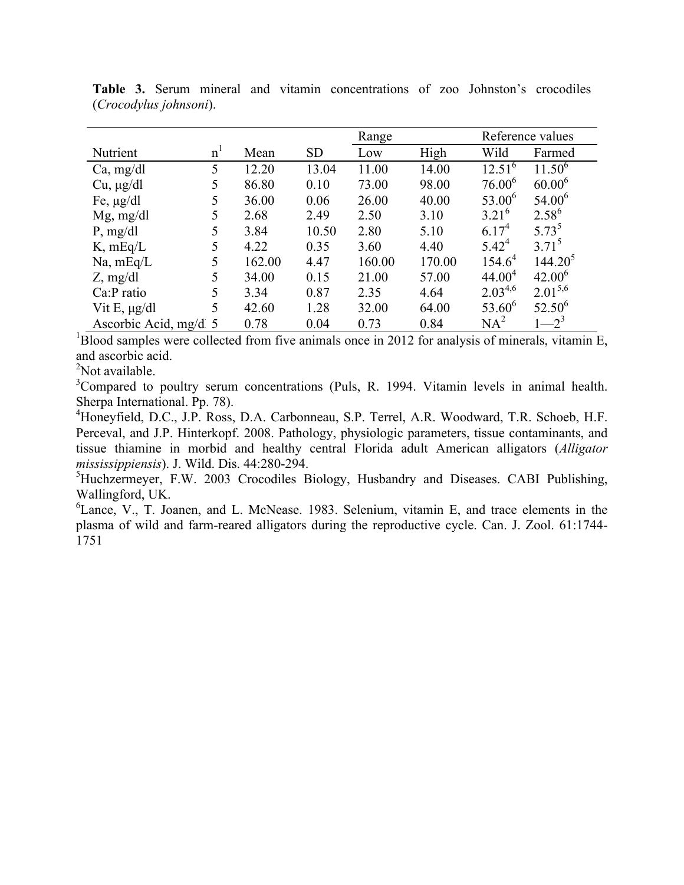|                       |                |        |           | Range  |        | Reference values   |              |
|-----------------------|----------------|--------|-----------|--------|--------|--------------------|--------------|
| Nutrient              | n <sup>1</sup> | Mean   | <b>SD</b> | Low    | High   | Wild               | Farmed       |
| Ca, mg/dl             | 5              | 12.20  | 13.04     | 11.00  | 14.00  | $12.51^{6}$        | $11.50^{6}$  |
| $Cu, \mu g/dl$        | 5              | 86.80  | 0.10      | 73.00  | 98.00  | $76.00^6$          | $60.00^{6}$  |
| Fe, $\mu$ g/dl        | 5              | 36.00  | 0.06      | 26.00  | 40.00  | $53.00^6$          | $54.00^6$    |
| $Mg$ , mg/dl          | 5              | 2.68   | 2.49      | 2.50   | 3.10   | $3.21^{6}$         | $2.58^{6}$   |
| P, mg/dl              | 5              | 3.84   | 10.50     | 2.80   | 5.10   | $6.17^{4}$         | $5.73^{5}$   |
| $K$ , mEq/L           | 5              | 4.22   | 0.35      | 3.60   | 4.40   | $5.42^{4}$         | $3.71^{5}$   |
| $Na$ , mEq/L          | 5              | 162.00 | 4.47      | 160.00 | 170.00 | $154.6^4$          | $144.20^5$   |
| $Z$ , mg/dl           | 5              | 34.00  | 0.15      | 21.00  | 57.00  | 44.00 <sup>4</sup> | $42.00^{6}$  |
| Ca:P ratio            | 5              | 3.34   | 0.87      | 2.35   | 4.64   | $2.03^{4,6}$       | $2.01^{5,6}$ |
| Vit E, $\mu$ g/dl     | 5              | 42.60  | 1.28      | 32.00  | 64.00  | $53.60^{6}$        | $52.50^{6}$  |
| Ascorbic Acid, mg/d 5 |                | 0.78   | 0.04      | 0.73   | 0.84   | $NA^2$             | $-2^{3}$     |

**Table 3.** Serum mineral and vitamin concentrations of zoo Johnston's crocodiles (*Crocodylus johnsoni*).

 $1<sup>1</sup>$ Blood samples were collected from five animals once in 2012 for analysis of minerals, vitamin E, and ascorbic acid.

<sup>2</sup>Not available.

 $3$ Compared to poultry serum concentrations (Puls, R. 1994. Vitamin levels in animal health. Sherpa International. Pp. 78). <sup>4</sup>

<sup>4</sup>Honeyfield, D.C., J.P. Ross, D.A. Carbonneau, S.P. Terrel, A.R. Woodward, T.R. Schoeb, H.F. Perceval, and J.P. Hinterkopf. 2008. Pathology, physiologic parameters, tissue contaminants, and tissue thiamine in morbid and healthy central Florida adult American alligators (*Alligator mississippiensis*). J. Wild. Dis. 44:280-294.

<sup>5</sup>Huchzermeyer, F.W. 2003 Crocodiles Biology, Husbandry and Diseases. CABI Publishing, Wallingford, UK.

<sup>6</sup>Lance, V., T. Joanen, and L. McNease. 1983. Selenium, vitamin E, and trace elements in the plasma of wild and farm-reared alligators during the reproductive cycle. Can. J. Zool. 61:1744- 1751